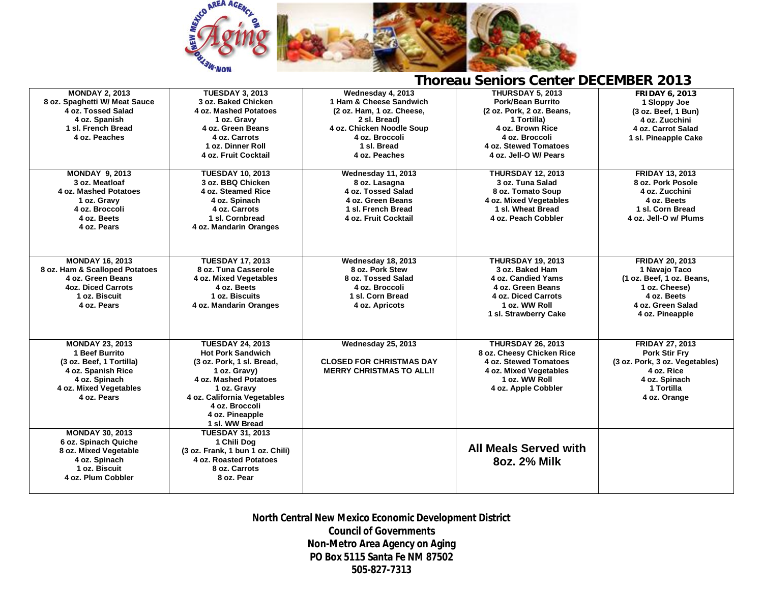

## **Thoreau Seniors Center DECEMBER 2013**

| <b>MONDAY 2, 2013</b>          | <b>TUESDAY 3, 2013</b>           | Wednesday 4, 2013               | <b>THURSDAY 5, 2013</b>      | <b>FRIDAY 6, 2013</b>          |
|--------------------------------|----------------------------------|---------------------------------|------------------------------|--------------------------------|
| 8 oz. Spaghetti W/ Meat Sauce  | 3 oz. Baked Chicken              | 1 Ham & Cheese Sandwich         | Pork/Bean Burrito            | 1 Sloppy Joe                   |
| 4 oz. Tossed Salad             | 4 oz. Mashed Potatoes            | (2 oz. Ham, 1 oz. Cheese,       | (2 oz. Pork, 2 oz. Beans,    | (3 oz. Beef, 1 Bun)            |
| 4 oz. Spanish                  | 1 oz. Gravy                      | 2 sl. Bread)                    | 1 Tortilla)                  | 4 oz. Zucchini                 |
| 1 sl. French Bread             | 4 oz. Green Beans                | 4 oz. Chicken Noodle Soup       | 4 oz. Brown Rice             | 4 oz. Carrot Salad             |
| 4 oz. Peaches                  | 4 oz. Carrots                    | 4 oz. Broccoli                  | 4 oz. Broccoli               | 1 sl. Pineapple Cake           |
|                                | 1 oz. Dinner Roll                | 1 sl. Bread                     | 4 oz. Stewed Tomatoes        |                                |
|                                | 4 oz. Fruit Cocktail             | 4 oz. Peaches                   | 4 oz. Jell-O W/ Pears        |                                |
|                                |                                  |                                 |                              |                                |
| <b>MONDAY 9, 2013</b>          | <b>TUESDAY 10, 2013</b>          | Wednesday 11, 2013              | <b>THURSDAY 12, 2013</b>     | <b>FRIDAY 13, 2013</b>         |
| 3 oz. Meatloaf                 | 3 oz. BBQ Chicken                | 8 oz. Lasagna                   | 3 oz. Tuna Salad             | 8 oz. Pork Posole              |
| 4 oz. Mashed Potatoes          | 4 oz. Steamed Rice               | 4 oz. Tossed Salad              | 8 oz. Tomato Soup            | 4 oz. Zucchini                 |
| 1 oz. Gravy                    | 4 oz. Spinach                    | 4 oz. Green Beans               | 4 oz. Mixed Vegetables       | 4 oz. Beets                    |
| 4 oz. Broccoli                 | 4 oz. Carrots                    | 1 sl. French Bread              | 1 sl. Wheat Bread            | 1 sl. Corn Bread               |
| 4 oz. Beets                    | 1 sl. Cornbread                  | 4 oz. Fruit Cocktail            | 4 oz. Peach Cobbler          | 4 oz. Jell-O w/ Plums          |
| 4 oz. Pears                    | 4 oz. Mandarin Oranges           |                                 |                              |                                |
|                                |                                  |                                 |                              |                                |
|                                |                                  |                                 |                              |                                |
|                                |                                  |                                 |                              |                                |
| <b>MONDAY 16, 2013</b>         | <b>TUESDAY 17, 2013</b>          | Wednesday 18, 2013              | <b>THURSDAY 19, 2013</b>     | <b>FRIDAY 20, 2013</b>         |
| 8 oz. Ham & Scalloped Potatoes | 8 oz. Tuna Casserole             | 8 oz. Pork Stew                 | 3 oz. Baked Ham              | 1 Navajo Taco                  |
| 4 oz. Green Beans              | 4 oz. Mixed Vegetables           | 8 oz. Tossed Salad              | 4 oz. Candied Yams           | (1 oz. Beef, 1 oz. Beans,      |
| <b>4oz. Diced Carrots</b>      | 4 oz. Beets                      | 4 oz. Broccoli                  | 4 oz. Green Beans            | 1 oz. Cheese)                  |
| 1 oz. Biscuit                  | 1 oz. Biscuits                   | 1 sl. Corn Bread                | <b>4 oz. Diced Carrots</b>   | 4 oz. Beets                    |
| 4 oz. Pears                    | 4 oz. Mandarin Oranges           | 4 oz. Apricots                  | 1 oz. WW Roll                | 4 oz. Green Salad              |
|                                |                                  |                                 | 1 sl. Strawberry Cake        | 4 oz. Pineapple                |
|                                |                                  |                                 |                              |                                |
|                                |                                  |                                 |                              |                                |
| <b>MONDAY 23, 2013</b>         | <b>TUESDAY 24, 2013</b>          | Wednesday 25, 2013              | <b>THURSDAY 26, 2013</b>     | <b>FRIDAY 27, 2013</b>         |
| 1 Beef Burrito                 | <b>Hot Pork Sandwich</b>         |                                 | 8 oz. Cheesy Chicken Rice    | <b>Pork Stir Fry</b>           |
| (3 oz. Beef, 1 Tortilla)       | (3 oz. Pork, 1 sl. Bread,        | <b>CLOSED FOR CHRISTMAS DAY</b> | 4 oz. Stewed Tomatoes        | (3 oz. Pork, 3 oz. Vegetables) |
| 4 oz. Spanish Rice             | 1 oz. Gravy)                     | <b>MERRY CHRISTMAS TO ALL!!</b> | 4 oz. Mixed Vegetables       | 4 oz. Rice                     |
| 4 oz. Spinach                  | 4 oz. Mashed Potatoes            |                                 | 1 oz. WW Roll                | 4 oz. Spinach                  |
| 4 oz. Mixed Vegetables         | 1 oz. Gravy                      |                                 | 4 oz. Apple Cobbler          | 1 Tortilla                     |
| 4 oz. Pears                    | 4 oz. California Vegetables      |                                 |                              | 4 oz. Orange                   |
|                                | 4 oz. Broccoli                   |                                 |                              |                                |
|                                | 4 oz. Pineapple                  |                                 |                              |                                |
|                                | 1 sl. WW Bread                   |                                 |                              |                                |
| <b>MONDAY 30, 2013</b>         | <b>TUESDAY 31, 2013</b>          |                                 |                              |                                |
| 6 oz. Spinach Quiche           | 1 Chili Dog                      |                                 |                              |                                |
| 8 oz. Mixed Vegetable          | (3 oz. Frank, 1 bun 1 oz. Chili) |                                 | <b>All Meals Served with</b> |                                |
| 4 oz. Spinach                  | 4 oz. Roasted Potatoes           |                                 | 80z. 2% Milk                 |                                |
| 1 oz. Biscuit                  | 8 oz. Carrots                    |                                 |                              |                                |
| 4 oz. Plum Cobbler             | 8 oz. Pear                       |                                 |                              |                                |
|                                |                                  |                                 |                              |                                |

**North Central New Mexico Economic Development District Council of Governments Non-Metro Area Agency on Aging PO Box 5115 Santa Fe NM 87502 505-827-7313**